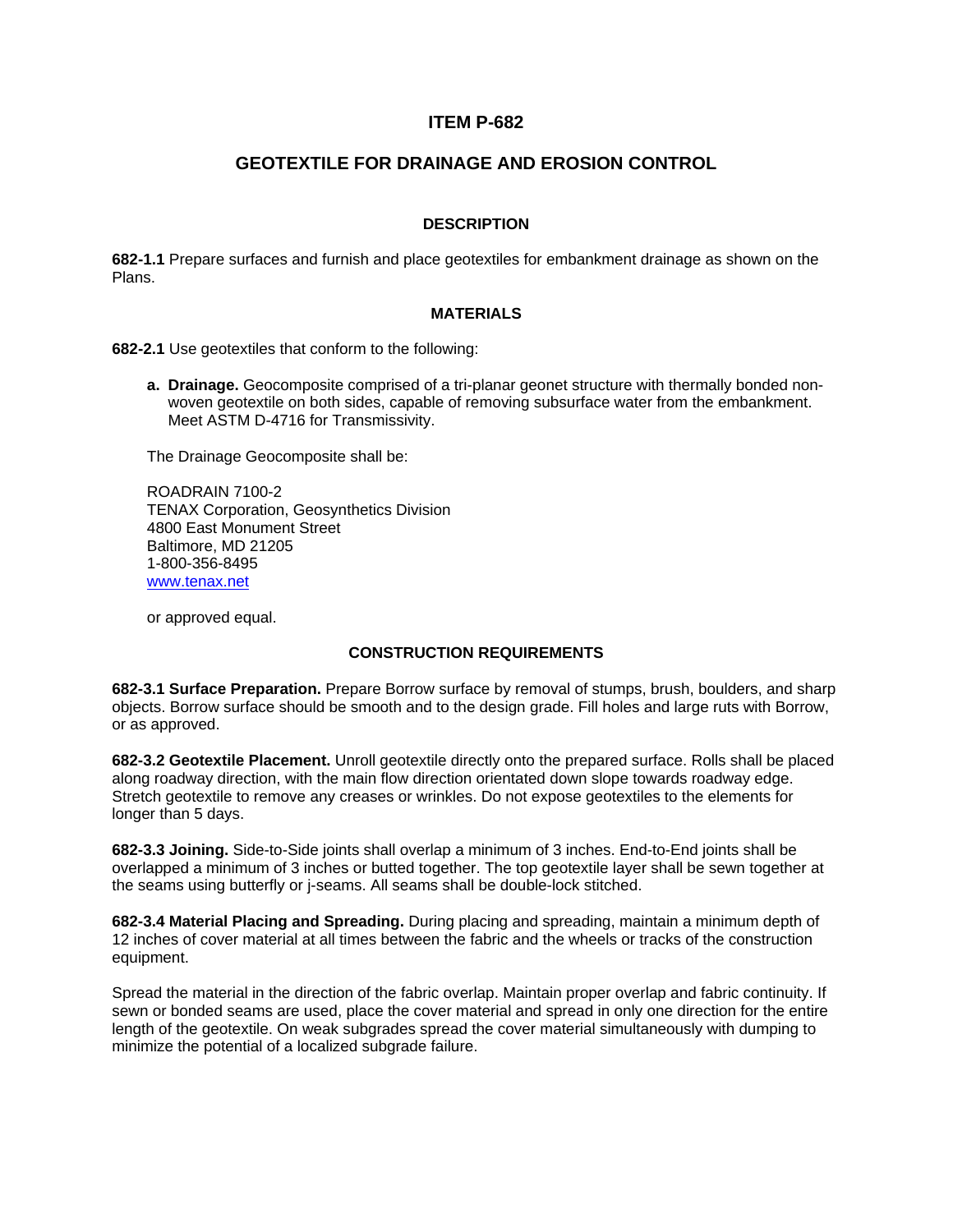### **ITEM P-682**

# **GEOTEXTILE FOR DRAINAGE AND EROSION CONTROL**

#### **DESCRIPTION**

**682-1.1** Prepare surfaces and furnish and place geotextiles for embankment drainage as shown on the Plans.

#### **MATERIALS**

**682-2.1** Use geotextiles that conform to the following:

**a. Drainage.** Geocomposite comprised of a tri-planar geonet structure with thermally bonded nonwoven geotextile on both sides, capable of removing subsurface water from the embankment. Meet ASTM D-4716 for Transmissivity.

The Drainage Geocomposite shall be:

ROADRAIN 7100-2 TENAX Corporation, Geosynthetics Division 4800 East Monument Street Baltimore, MD 21205 1-800-356-8495 www.tenax.net

or approved equal.

### **CONSTRUCTION REQUIREMENTS**

**682-3.1 Surface Preparation.** Prepare Borrow surface by removal of stumps, brush, boulders, and sharp objects. Borrow surface should be smooth and to the design grade. Fill holes and large ruts with Borrow, or as approved.

**682-3.2 Geotextile Placement.** Unroll geotextile directly onto the prepared surface. Rolls shall be placed along roadway direction, with the main flow direction orientated down slope towards roadway edge. Stretch geotextile to remove any creases or wrinkles. Do not expose geotextiles to the elements for longer than 5 days.

**682-3.3 Joining.** Side-to-Side joints shall overlap a minimum of 3 inches. End-to-End joints shall be overlapped a minimum of 3 inches or butted together. The top geotextile layer shall be sewn together at the seams using butterfly or j-seams. All seams shall be double-lock stitched.

**682-3.4 Material Placing and Spreading.** During placing and spreading, maintain a minimum depth of 12 inches of cover material at all times between the fabric and the wheels or tracks of the construction equipment.

Spread the material in the direction of the fabric overlap. Maintain proper overlap and fabric continuity. If sewn or bonded seams are used, place the cover material and spread in only one direction for the entire length of the geotextile. On weak subgrades spread the cover material simultaneously with dumping to minimize the potential of a localized subgrade failure.